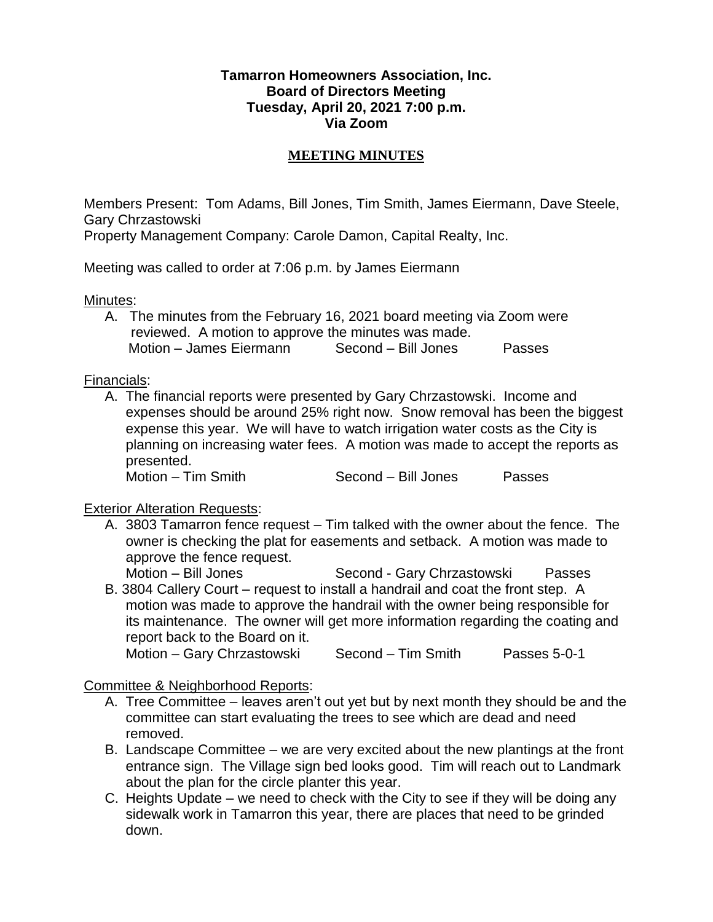## **Tamarron Homeowners Association, Inc. Board of Directors Meeting Tuesday, April 20, 2021 7:00 p.m. Via Zoom**

## **MEETING MINUTES**

Members Present: Tom Adams, Bill Jones, Tim Smith, James Eiermann, Dave Steele, Gary Chrzastowski

Property Management Company: Carole Damon, Capital Realty, Inc.

Meeting was called to order at 7:06 p.m. by James Eiermann

Minutes:

A. The minutes from the February 16, 2021 board meeting via Zoom were reviewed. A motion to approve the minutes was made. Motion – James Eiermann Second – Bill Jones Passes

Financials:

A. The financial reports were presented by Gary Chrzastowski. Income and expenses should be around 25% right now. Snow removal has been the biggest expense this year. We will have to watch irrigation water costs as the City is planning on increasing water fees. A motion was made to accept the reports as presented.

Motion – Tim Smith Second – Bill Jones Passes

## Exterior Alteration Requests:

A. 3803 Tamarron fence request – Tim talked with the owner about the fence. The owner is checking the plat for easements and setback. A motion was made to approve the fence request.

Motion – Bill Jones Second - Gary Chrzastowski Passes

B. 3804 Callery Court – request to install a handrail and coat the front step. A motion was made to approve the handrail with the owner being responsible for its maintenance. The owner will get more information regarding the coating and report back to the Board on it.

```
Motion – Gary Chrzastowski Second – Tim Smith Passes 5-0-1
```
Committee & Neighborhood Reports:

- A. Tree Committee leaves aren't out yet but by next month they should be and the committee can start evaluating the trees to see which are dead and need removed.
- B. Landscape Committee we are very excited about the new plantings at the front entrance sign. The Village sign bed looks good. Tim will reach out to Landmark about the plan for the circle planter this year.
- C. Heights Update we need to check with the City to see if they will be doing any sidewalk work in Tamarron this year, there are places that need to be grinded down.